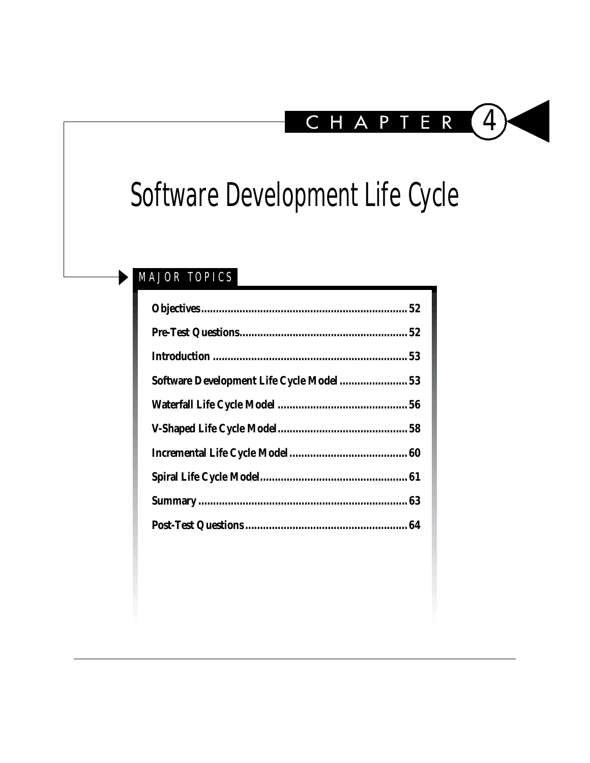

# Software Development Life Cycle

## MAJOR TOPICS

| Software Development Life Cycle Model 53 |  |
|------------------------------------------|--|
|                                          |  |
|                                          |  |
|                                          |  |
|                                          |  |
|                                          |  |
|                                          |  |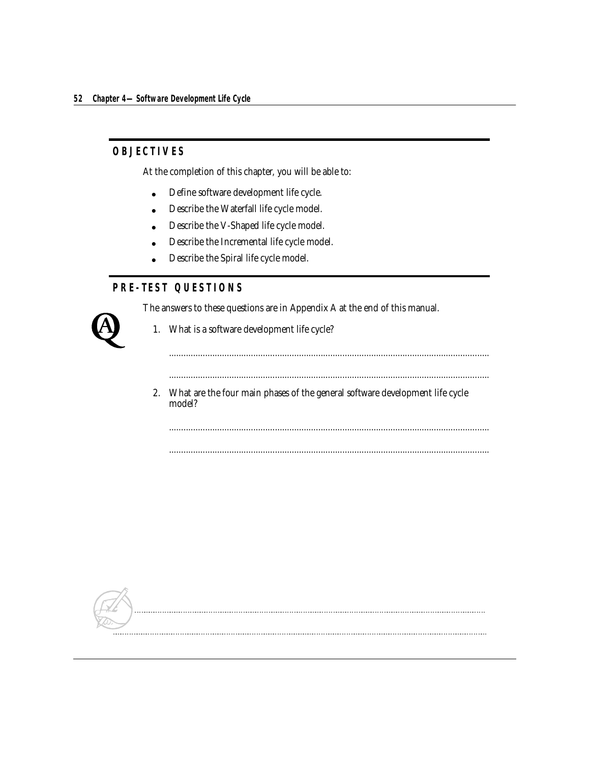## <span id="page-1-0"></span>**OBJECTIVES**

At the completion of this chapter, you will be able to:

- Define software development life cycle.
- Describe the Waterfall life cycle model.
- Describe the V-Shaped life cycle model.
- Describe the Incremental life cycle model.
- Describe the Spiral life cycle model.

## **PRE-TEST QUESTIONS**

The answers to these questions are in Appendix A at the end of this manual.

<span id="page-1-1"></span>

1. What is a software development life cycle?

.....................................................................................................................................

- .....................................................................................................................................
- 2. What are the four main phases of the general software development life cycle model?

..................................................................................................................................... .....................................................................................................................................

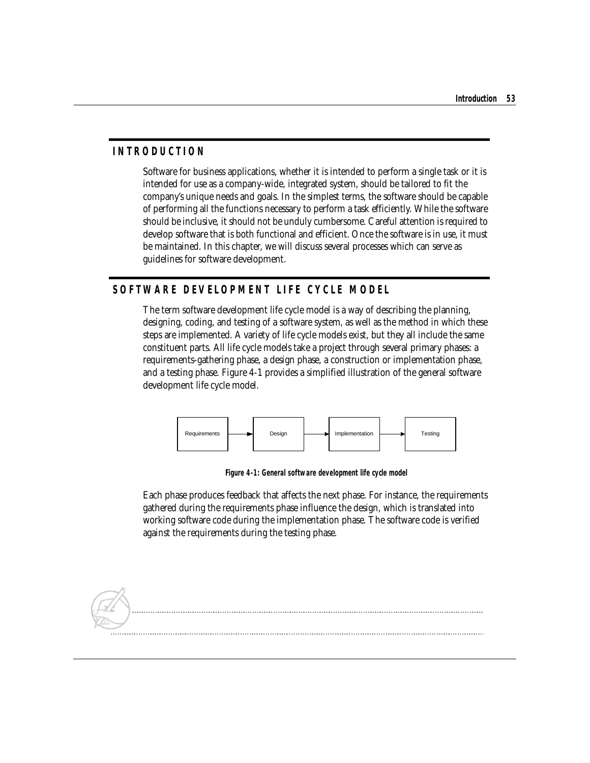## <span id="page-2-0"></span>**INTRODUCTION**

Software for business applications, whether it is intended to perform a single task or it is intended for use as a company-wide, integrated system, should be tailored to fit the company's unique needs and goals. In the simplest terms, the software should be capable of performing all the functions necessary to perform a task efficiently. While the software should be inclusive, it should not be unduly cumbersome. Careful attention is required to develop software that is both functional and efficient. Once the software is in use, it must be maintained. In this chapter, we will discuss several processes which can serve as guidelines for software development.

## <span id="page-2-1"></span>**SOFTWARE DEVELOPMENT LIFE CYCLE MODEL**

The term software development life cycle model is a way of describing the planning, designing, coding, and testing of a software system, as well as the method in which these steps are implemented. A variety of life cycle models exist, but they all include the same constituent parts. All life cycle models take a project through several primary phases: a requirements-gathering phase, a design phase, a construction or implementation phase, and a testing phase. Figure 4-1 provides a simplified illustration of the general software development life cycle model.



**Figure 4-1: General software development life cycle model**

Each phase produces feedback that affects the next phase. For instance, the requirements gathered during the requirements phase influence the design, which is translated into working software code during the implementation phase. The software code is verified against the requirements during the testing phase.

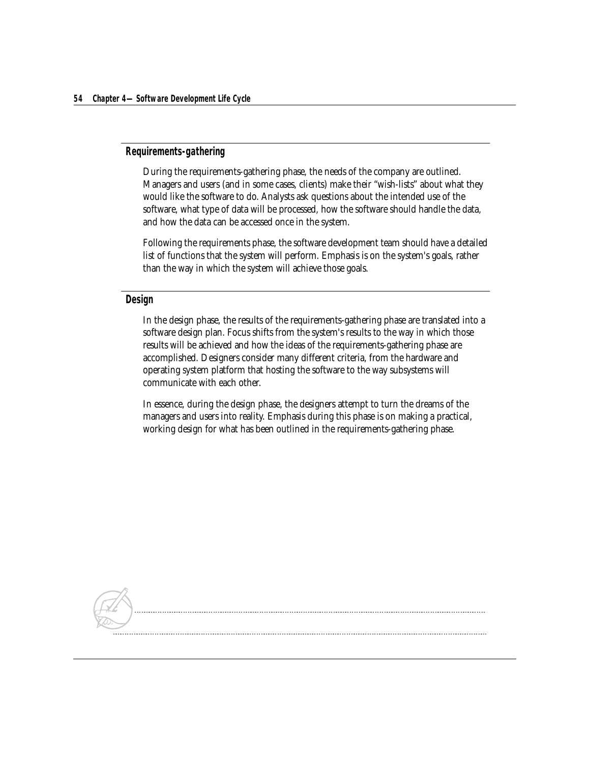#### **Requirements-gathering**

During the requirements-gathering phase, the needs of the company are outlined. Managers and users (and in some cases, clients) make their "wish-lists" about what they would like the software to do. Analysts ask questions about the intended use of the software, what type of data will be processed, how the software should handle the data, and how the data can be accessed once in the system.

Following the requirements phase, the software development team should have a detailed list of functions that the system will perform. Emphasis is on the system's goals, rather than the way in which the system will achieve those goals.

#### **Design**

In the design phase, the results of the requirements-gathering phase are translated into a software design plan. Focus shifts from the system's results to the way in which those results will be achieved and how the ideas of the requirements-gathering phase are accomplished. Designers consider many different criteria, from the hardware and operating system platform that hosting the software to the way subsystems will communicate with each other.

In essence, during the design phase, the designers attempt to turn the dreams of the managers and users into reality. Emphasis during this phase is on making a practical, working design for what has been outlined in the requirements-gathering phase.

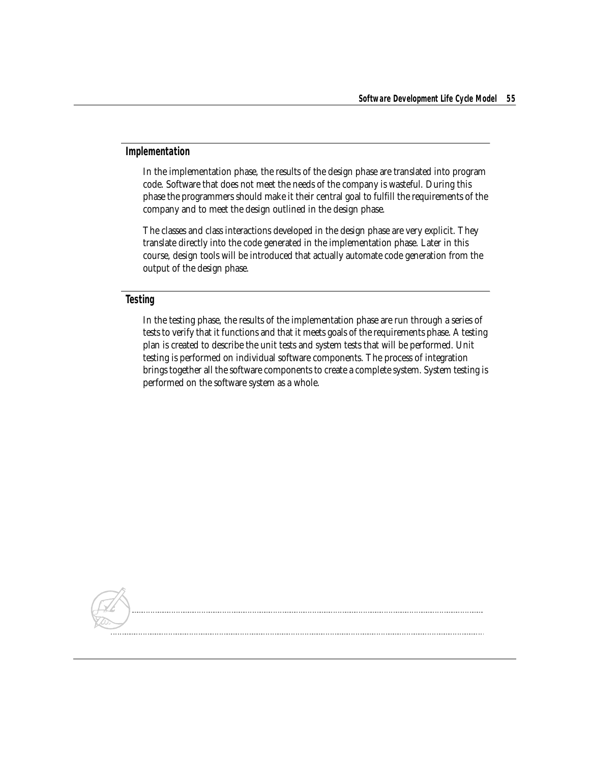#### **Implementation**

In the implementation phase, the results of the design phase are translated into program code. Software that does not meet the needs of the company is wasteful. During this phase the programmers should make it their central goal to fulfill the requirements of the company and to meet the design outlined in the design phase.

The classes and class interactions developed in the design phase are very explicit. They translate directly into the code generated in the implementation phase. Later in this course, design tools will be introduced that actually automate code generation from the output of the design phase.

#### **Testing**

In the testing phase, the results of the implementation phase are run through a series of tests to verify that it functions and that it meets goals of the requirements phase. A testing plan is created to describe the unit tests and system tests that will be performed. Unit testing is performed on individual software components. The process of integration brings together all the software components to create a complete system. System testing is performed on the software system as a whole.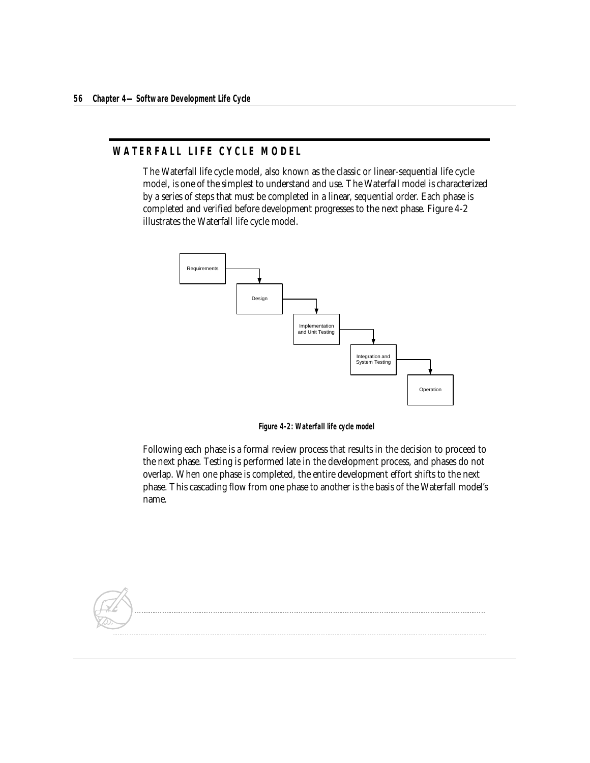## <span id="page-5-0"></span>**WATERFALL LIFE CYCLE MODEL**

The Waterfall life cycle model, also known as the classic or linear-sequential life cycle model, is one of the simplest to understand and use. The Waterfall model is characterized by a series of steps that must be completed in a linear, sequential order. Each phase is completed and verified before development progresses to the next phase. Figure 4-2 illustrates the Waterfall life cycle model.



**Figure 4-2: Waterfall life cycle model**

Following each phase is a formal review process that results in the decision to proceed to the next phase. Testing is performed late in the development process, and phases do not overlap. When one phase is completed, the entire development effort shifts to the next phase. This cascading flow from one phase to another is the basis of the Waterfall model's name.

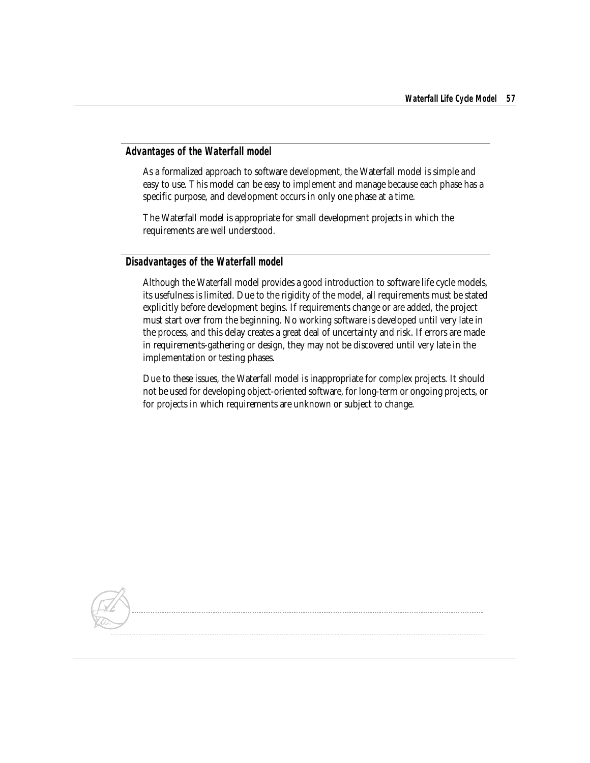## **Advantages of the Waterfall model**

As a formalized approach to software development, the Waterfall model is simple and easy to use. This model can be easy to implement and manage because each phase has a specific purpose, and development occurs in only one phase at a time.

The Waterfall model is appropriate for small development projects in which the requirements are well understood.

## **Disadvantages of the Waterfall model**

Although the Waterfall model provides a good introduction to software life cycle models, its usefulness is limited. Due to the rigidity of the model, all requirements must be stated explicitly before development begins. If requirements change or are added, the project must start over from the beginning. No working software is developed until very late in the process, and this delay creates a great deal of uncertainty and risk. If errors are made in requirements-gathering or design, they may not be discovered until very late in the implementation or testing phases.

Due to these issues, the Waterfall model is inappropriate for complex projects. It should not be used for developing object-oriented software, for long-term or ongoing projects, or for projects in which requirements are unknown or subject to change.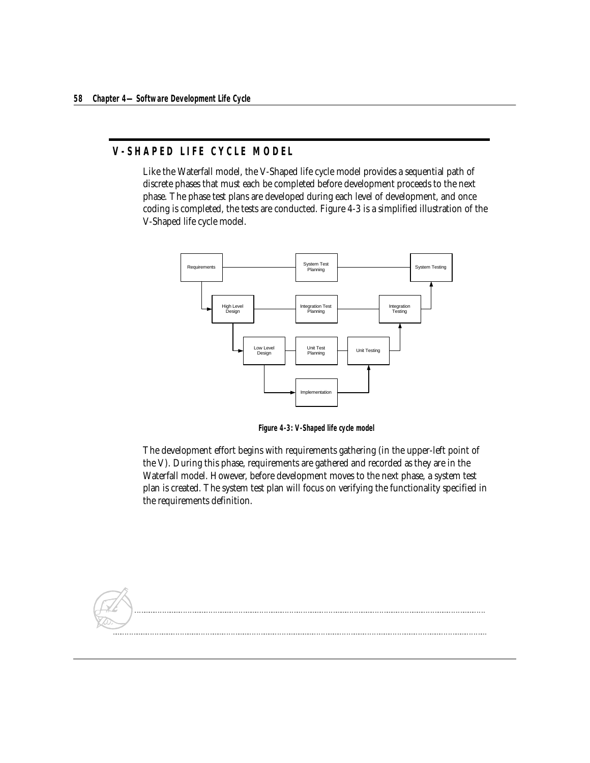## <span id="page-7-0"></span>**V-SHAPED LIFE CYCLE MODEL**

Like the Waterfall model, the V-Shaped life cycle model provides a sequential path of discrete phases that must each be completed before development proceeds to the next phase. The phase test plans are developed during each level of development, and once coding is completed, the tests are conducted. Figure 4-3 is a simplified illustration of the V-Shaped life cycle model.



**Figure 4-3: V-Shaped life cycle model**

The development effort begins with requirements gathering (in the upper-left point of the V). During this phase, requirements are gathered and recorded as they are in the Waterfall model. However, before development moves to the next phase, a system test plan is created. The system test plan will focus on verifying the functionality specified in the requirements definition.

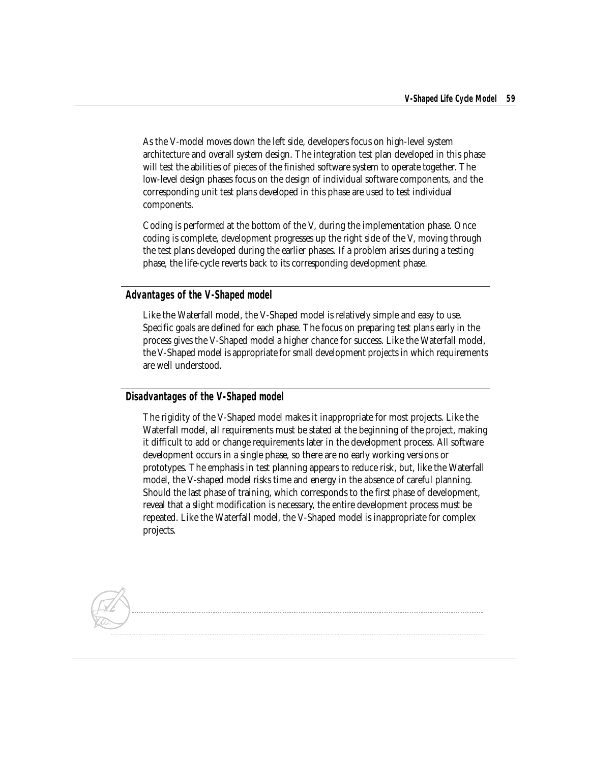As the V-model moves down the left side, developers focus on high-level system architecture and overall system design. The integration test plan developed in this phase will test the abilities of pieces of the finished software system to operate together. The low-level design phases focus on the design of individual software components, and the corresponding unit test plans developed in this phase are used to test individual components.

Coding is performed at the bottom of the V, during the implementation phase. Once coding is complete, development progresses up the right side of the V, moving through the test plans developed during the earlier phases. If a problem arises during a testing phase, the life-cycle reverts back to its corresponding development phase.

## **Advantages of the V-Shaped model**

Like the Waterfall model, the V-Shaped model is relatively simple and easy to use. Specific goals are defined for each phase. The focus on preparing test plans early in the process gives the V-Shaped model a higher chance for success. Like the Waterfall model, the V-Shaped model is appropriate for small development projects in which requirements are well understood.

#### **Disadvantages of the V-Shaped model**

The rigidity of the V-Shaped model makes it inappropriate for most projects. Like the Waterfall model, all requirements must be stated at the beginning of the project, making it difficult to add or change requirements later in the development process. All software development occurs in a single phase, so there are no early working versions or prototypes. The emphasis in test planning appears to reduce risk, but, like the Waterfall model, the V-shaped model risks time and energy in the absence of careful planning. Should the last phase of training, which corresponds to the first phase of development, reveal that a slight modification is necessary, the entire development process must be repeated. Like the Waterfall model, the V-Shaped model is inappropriate for complex projects.

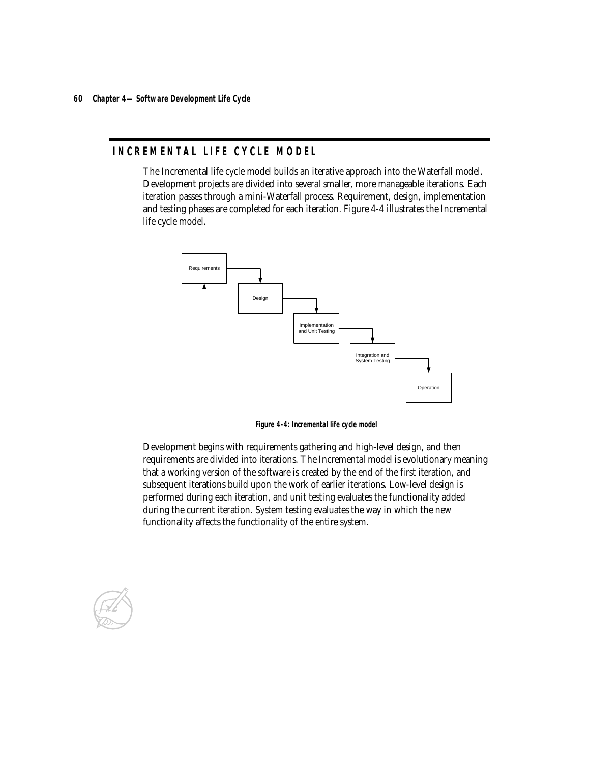## <span id="page-9-0"></span>**INCREMENTAL LIFE CYCLE MODEL**

The Incremental life cycle model builds an iterative approach into the Waterfall model. Development projects are divided into several smaller, more manageable iterations. Each iteration passes through a mini-Waterfall process. Requirement, design, implementation and testing phases are completed for each iteration. Figure 4-4 illustrates the Incremental life cycle model.



**Figure 4-4: Incremental life cycle model**

Development begins with requirements gathering and high-level design, and then requirements are divided into iterations. The Incremental model is evolutionary meaning that a working version of the software is created by the end of the first iteration, and subsequent iterations build upon the work of earlier iterations. Low-level design is performed during each iteration, and unit testing evaluates the functionality added during the current iteration. System testing evaluates the way in which the new functionality affects the functionality of the entire system.

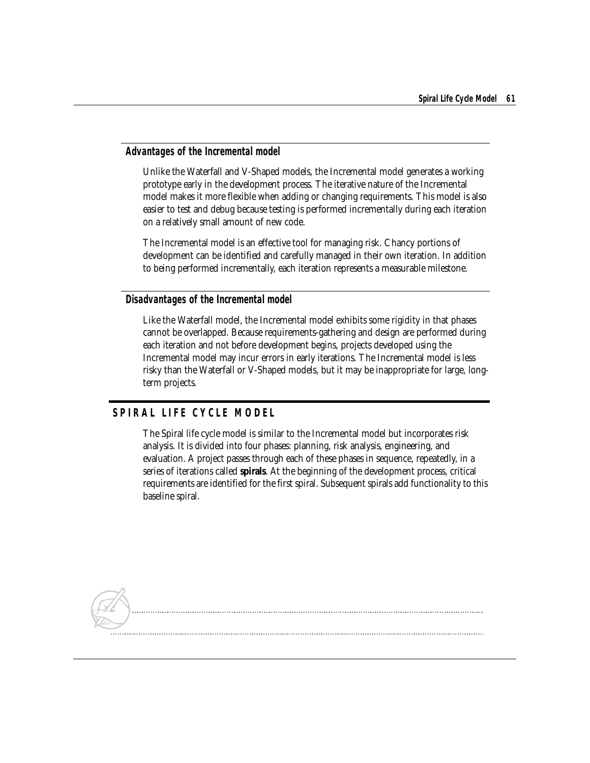#### **Advantages of the Incremental model**

Unlike the Waterfall and V-Shaped models, the Incremental model generates a working prototype early in the development process. The iterative nature of the Incremental model makes it more flexible when adding or changing requirements. This model is also easier to test and debug because testing is performed incrementally during each iteration on a relatively small amount of new code.

The Incremental model is an effective tool for managing risk. Chancy portions of development can be identified and carefully managed in their own iteration. In addition to being performed incrementally, each iteration represents a measurable milestone.

#### **Disadvantages of the Incremental model**

Like the Waterfall model, the Incremental model exhibits some rigidity in that phases cannot be overlapped. Because requirements-gathering and design are performed during each iteration and not before development begins, projects developed using the Incremental model may incur errors in early iterations. The Incremental model is less risky than the Waterfall or V-Shaped models, but it may be inappropriate for large, longterm projects.

## <span id="page-10-0"></span>**SPIRAL LIFE CYCLE MODEL**

The Spiral life cycle model is similar to the Incremental model but incorporates risk analysis. It is divided into four phases: planning, risk analysis, engineering, and evaluation. A project passes through each of these phases in sequence, repeatedly, in a series of iterations called **spirals**. At the beginning of the development process, critical requirements are identified for the first spiral. Subsequent spirals add functionality to this baseline spiral.

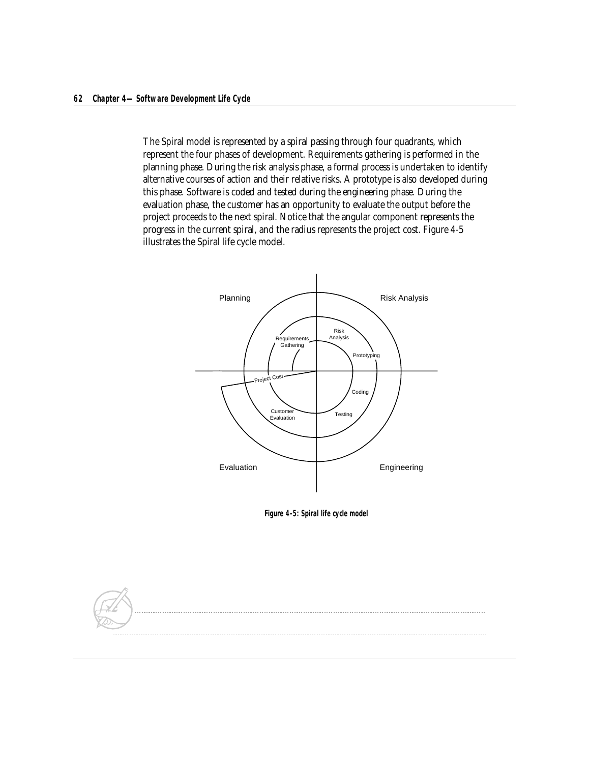The Spiral model is represented by a spiral passing through four quadrants, which represent the four phases of development. Requirements gathering is performed in the planning phase. During the risk analysis phase, a formal process is undertaken to identify alternative courses of action and their relative risks. A prototype is also developed during this phase. Software is coded and tested during the engineering phase. During the evaluation phase, the customer has an opportunity to evaluate the output before the project proceeds to the next spiral. Notice that the angular component represents the progress in the current spiral, and the radius represents the project cost. Figure 4-5 illustrates the Spiral life cycle model.



**Figure 4-5: Spiral life cycle model**

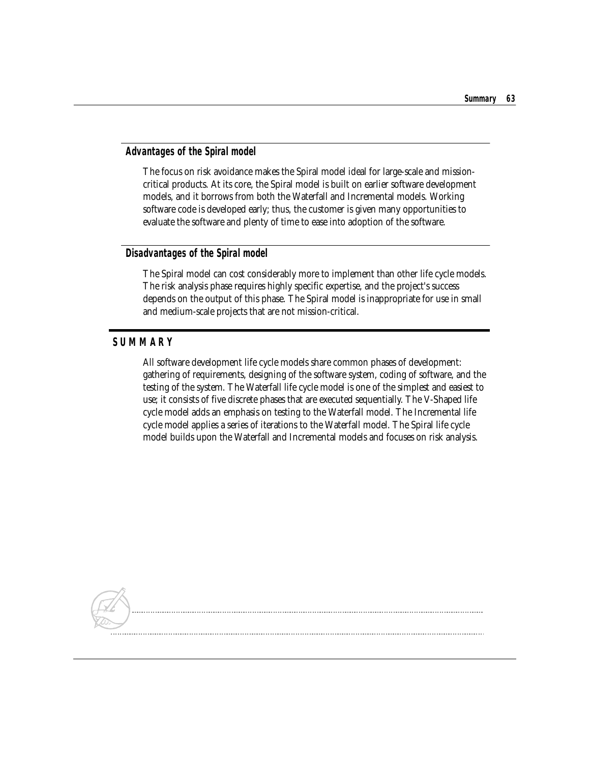#### **Advantages of the Spiral model**

The focus on risk avoidance makes the Spiral model ideal for large-scale and missioncritical products. At its core, the Spiral model is built on earlier software development models, and it borrows from both the Waterfall and Incremental models. Working software code is developed early; thus, the customer is given many opportunities to evaluate the software and plenty of time to ease into adoption of the software.

#### **Disadvantages of the Spiral model**

The Spiral model can cost considerably more to implement than other life cycle models. The risk analysis phase requires highly specific expertise, and the project's success depends on the output of this phase. The Spiral model is inappropriate for use in small and medium-scale projects that are not mission-critical.

## <span id="page-12-0"></span>**SUMMARY**

All software development life cycle models share common phases of development: gathering of requirements, designing of the software system, coding of software, and the testing of the system. The Waterfall life cycle model is one of the simplest and easiest to use; it consists of five discrete phases that are executed sequentially. The V-Shaped life cycle model adds an emphasis on testing to the Waterfall model. The Incremental life cycle model applies a series of iterations to the Waterfall model. The Spiral life cycle model builds upon the Waterfall and Incremental models and focuses on risk analysis.